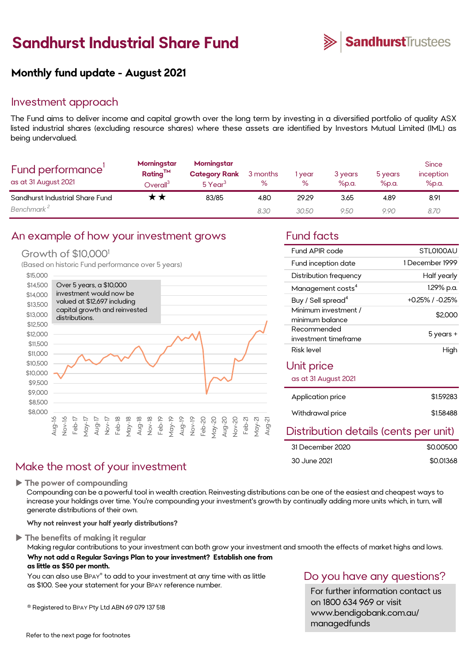# **Sandhurst Industrial Share Fund**



Fund APIR code STL0100AU

Distribution frequency half yearly Management costs<sup>4</sup> 1.29% p.a. Buy / Sell spread<sup>4</sup>  $+0.25\%$  /  $-0.25\%$ 

Risk level **High** 

investment timeframe 5 years +

minimum balance<br>minimum balance

Application price \$1.59283

Withdrawal price \$1.58488

\$0.00500 \$0.01368

1 December 1999

Distribution details (cents per unit)

Fund inception date

Minimum investment /

Unit price

Recommended

as at 31 August 2021

31 December 2020

30 June 2021

# **Monthly fund update - August 2021**

#### Investment approach

The Fund aims to deliver income and capital growth over the long term by investing in a diversified portfolio of quality ASX listed industrial shares (excluding resource shares) where these assets are identified by Investors Mutual Limited (IML) as being undervalued.

| Fund performance'<br>as at 31 August 2021 | Morningstar<br>Rating <sup>TM</sup><br>$\mathsf{Overall}^{\mathsf{s}}$ | Morningstar<br><b>Category Rank</b><br>5 Year <sup>3</sup> | 3 months<br>% | l year<br>% | 3 years<br>%p.a. | 5 years<br>%p.a. | <b>Since</b><br>inception<br>%p.a. |
|-------------------------------------------|------------------------------------------------------------------------|------------------------------------------------------------|---------------|-------------|------------------|------------------|------------------------------------|
| Sandhurst Industrial Share Fund           | * *                                                                    | 83/85                                                      | 4.80          | 29.29       | 3.65             | 4.89             | 8.91                               |
| Benchmark <sup>2</sup>                    |                                                                        |                                                            | 8.30          | 30.50       | 9.50             | 9.90             | 8.70                               |

#### An example of how your investment grows Fund facts

#### Growth of \$10,0001

(Based on historic Fund performance over 5 years)



# Make the most of your investment

**The power of compounding**

Compounding can be a powerful tool in wealth creation. Reinvesting distributions can be one of the easiest and cheapest ways to increase your holdings over time. You're compounding your investment's growth by continually adding more units which, in turn, will generate distributions of their own.

#### **Why not reinvest your half yearly distributions?**

**The benefits of making it regular**

Making regular contributions to your investment can both grow your investment and smooth the effects of market highs and lows. **Why not add a Regular Savings Plan to your investment? Establish one from as little as \$50 per month.** 

You can also use BPAY® to add to your investment at any time with as little as \$100. See your statement for your BPAY reference number.

® Registered to BPAY Pty Ltd ABN 69 079 137 518

### Do you have any questions?

For further information contact us on 1800 634 969 or visit www.bendigobank.com.au/ managedfunds